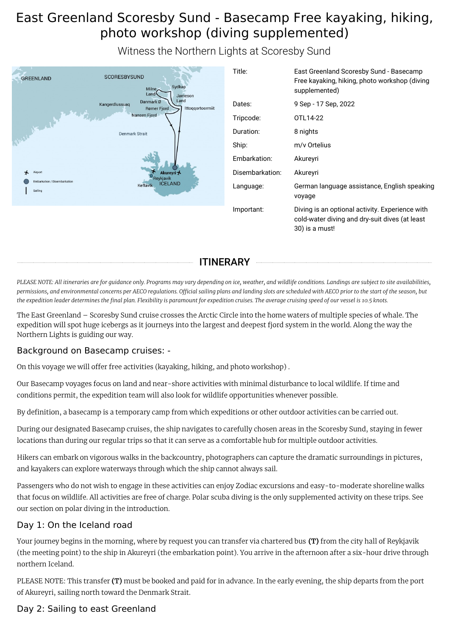# East Greenland Scoresby Sund - Basecamp Free kayaking, hiking, photo workshop (diving supplemented)

Witness the Northern Lights at Scoresby Sund

| <b>GREENLAND</b>                        | <b>SCORESBYSUND</b><br>Sydkap<br>Milne,<br>Land<br>Jameson             | Title:          | East Greenland Scoresby Sund - Basecamp<br>Free kayaking, hiking, photo workshop (diving<br>supplemented)           |
|-----------------------------------------|------------------------------------------------------------------------|-----------------|---------------------------------------------------------------------------------------------------------------------|
|                                         | Land<br>Danmark Ø<br>Kangerdlussuag<br>Ittoqqortoormiit<br>Rømer Fjord | Dates:          | 9 Sep - 17 Sep, 2022                                                                                                |
|                                         | Nansen Fjord                                                           | Tripcode:       | OTL14-22                                                                                                            |
| week wet                                | <b>Denmark Strait</b>                                                  | Duration:       | 8 nights                                                                                                            |
|                                         |                                                                        | Ship:           | m/v Ortelius                                                                                                        |
|                                         |                                                                        | Embarkation:    | Akureyri                                                                                                            |
| Airport<br>⊀                            | Akureyri <b>★</b><br>evkiavik                                          | Disembarkation: | Akureyri                                                                                                            |
| Embarkation / Disembarkation<br>Sailing | <b>ICELAND</b><br><b>Keflavik</b>                                      | Language:       | German language assistance, English speaking<br>voyage                                                              |
|                                         |                                                                        | Important:      | Diving is an optional activity. Experience with<br>cold-water diving and dry-suit dives (at least<br>30) is a must! |
|                                         |                                                                        |                 |                                                                                                                     |

ITINERARY

PLEASE NOTE: All itineraries are for guidance only. Programs may vary depending on ice, weather, and wildlife conditions. Landings are subject to site availabilities, permissions, and environmental concerns per AECO regulations. Official sailing plans and landing slots are scheduled with AECO prior to the start of the season, but the expedition leader determines the final plan. Flexibility is paramount for expedition cruises. The average cruising speed of our vessel is 10.5 knots.

The East Greenland – Scoresby Sund cruise crosses the Arctic Circle into the home waters of multiple species of whale. The expedition will spot huge icebergs as it journeys into the largest and deepest fjord system in the world. Along the way the Northern Lights is guiding our way.

## Background on Basecamp cruises: -

On this voyage we will offer free activities (kayaking, hiking, and photo workshop) .

Our Basecamp voyages focus on land and near-shore activities with minimal disturbance to local wildlife. If time and conditions permit, the expedition team will also look for wildlife opportunities whenever possible.

By definition, a basecamp is a temporary camp from which expeditions or other outdoor activities can be carried out.

During our designated Basecamp cruises, the ship navigates to carefully chosen areas in the Scoresby Sund, staying in fewer locations than during our regular trips so that it can serve as a comfortable hub for multiple outdoor activities.

Hikers can embark on vigorous walks in the backcountry, photographers can capture the dramatic surroundings in pictures, and kayakers can explore waterways through which the ship cannot always sail.

Passengers who do not wish to engage in these activities can enjoy Zodiac excursions and easy-to-moderate shoreline walks that focus on wildlife. All activities are free of charge. Polar scuba diving is the only supplemented activity on these trips. See our section on polar diving in the introduction.

## Day 1: On the Iceland road

Your journey begins in the morning, where by request you can transfer via chartered bus (T) from the city hall of Reykjavik (the meeting point) to the ship in Akureyri (the embarkation point). You arrive in the afternoon after a six-hour drive through northern Iceland.

PLEASE NOTE: This transfer (T) must be booked and paid for in advance. In the early evening, the ship departs from the port of Akureyri, sailing north toward the Denmark Strait.

## Day 2: Sailing to east Greenland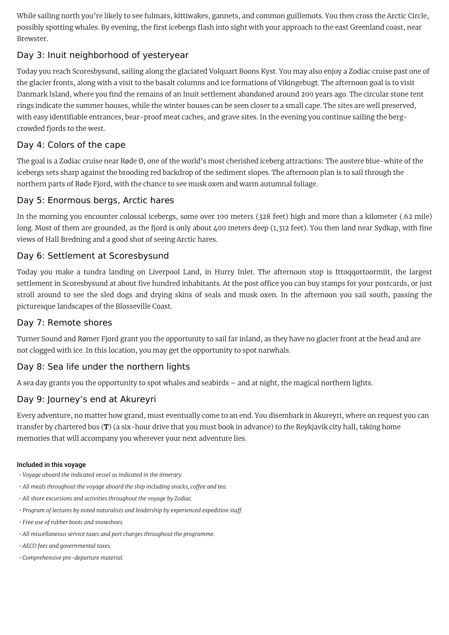While sailing north you're likely to see fulmars, kittiwakes, gannets, and common guillemots. You then cross the Arctic Circle, possibly spotting whales. By evening, the first icebergs flash into sight with your approach to the east Greenland coast, near Brewster.

## Day 3: Inuit neighborhood of yesteryear

Today you reach Scoresbysund, sailing along the glaciated Volquart Boons Kyst. You may also enjoy a Zodiac cruise past one of the glacier fronts, along with a visit to the basalt columns and ice formations of Vikingebugt. The afternoon goal is to visit Danmark Island, where you find the remains of an Inuit settlement abandoned around 200 years ago. The circular stone tent rings indicate the summer houses, while the winter houses can be seen closer to a small cape. The sites are well preserved, with easy identifiable entrances, bear-proof meat caches, and grave sites. In the evening you continue sailing the bergcrowded fjords to the west.

## Day 4: Colors of the cape

The goal is a Zodiac cruise near Røde Ø, one of the world's most cherished iceberg attractions: The austere blue-white of the icebergs sets sharp against the brooding red backdrop of the sediment slopes. The afternoon plan is to sail through the northern parts of Røde Fjord, with the chance to see musk oxen and warm autumnal foliage.

## Day 5: Enormous bergs, Arctic hares

In the morning you encounter colossal icebergs, some over 100 meters (328 feet) high and more than a kilometer (.62 mile) long. Most of them are grounded, as the fjord is only about 400 meters deep (1,312 feet). You then land near Sydkap, with fine views of Hall Bredning and a good shot of seeing Arctic hares.

## Day 6: Settlement at Scoresbysund

Today you make a tundra landing on Liverpool Land, in Hurry Inlet. The afternoon stop is Ittoqqortoormiit, the largest settlement in Scoresbysund at about five hundred inhabitants. At the post office you can buy stamps for your postcards, or just stroll around to see the sled dogs and drying skins of seals and musk oxen. In the afternoon you sail south, passing the picturesque landscapes of the Blosseville Coast.

## Day 7: Remote shores

Turner Sound and Rømer Fjord grant you the opportunity to sail far inland, as they have no glacier front at the head and are not clogged with ice. In this location, you may get the opportunity to spot narwhals.

## Day 8: Sea life under the northern lights

A sea day grants you the opportunity to spot whales and seabirds – and at night, the magical northern lights.

## Day 9: Journey's end at Akureyri

Every adventure, no matter how grand, must eventually come to an end. You disembark in Akureyri, where on request you can transfer by chartered bus (T) (a six-hour drive that you must book in advance) to the Reykjavik city hall, taking home memories that will accompany you wherever your next adventure lies.

### Included in this voyage

- *• Voyage aboard the indicated vessel as indicated in the itinerary*
- *• All meals throughout the voyage aboard the ship including snacks, coffee and tea.*
- *• All shore excursions and activities throughout the voyage by Zodiac.*
- *• Program of lectures by noted naturalists and leadership by experienced expedition staff.*
- *• Free use of rubber boots and snowshoes.*
- *• All miscellaneous service taxes and port charges throughout the programme.*
- *• AECO fees and governmental taxes.*
- *• Comprehensive pre-departure material.*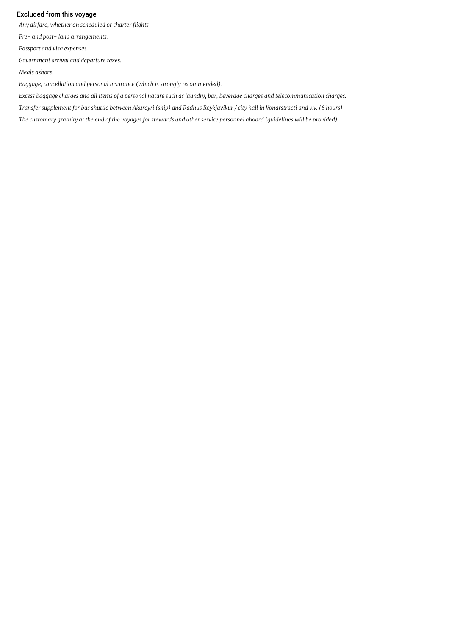#### Excluded from this voyage

*Any airfare, whether on scheduled or charter flights*

*Pre- and post- land arrangements.*

*Passport and visa expenses.*

*Government arrival and departure taxes.*

*Meals ashore.*

*Baggage, cancellation and personal insurance (which is strongly recommended).*

Excess baggage charges and all items of a personal nature such as laundry, bar, beverage charges and telecommunication charges. Transfer supplement for bus shuttle between Akureyri (ship) and Radhus Reykjavikur / city hall in Vonarstraeti and v.v. (6 hours) The customary gratuity at the end of the voyages for stewards and other service personnel aboard (guidelines will be provided).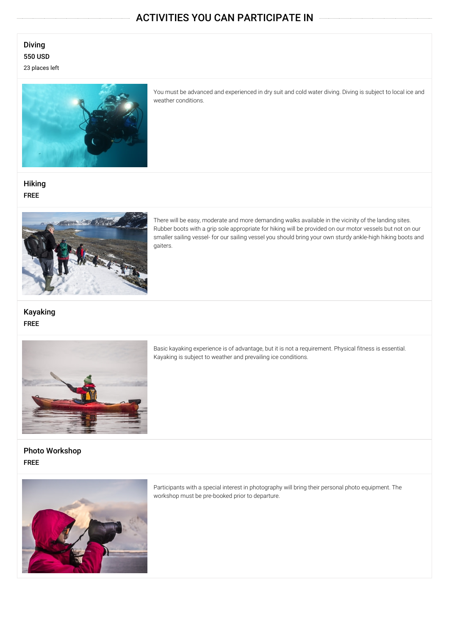# ACTIVITIES YOU CAN PARTICIPATE IN

## Diving 550 USD 23 places left



You must be advanced and experienced in dry suit and cold water diving. Diving is subject to local ice and weather conditions.

**Hiking** FREE



There will be easy, moderate and more demanding walks available in the vicinity of the landing sites. Rubber boots with a grip sole appropriate for hiking will be provided on our motor vessels but not on our smaller sailing vessel- for our sailing vessel you should bring your own sturdy ankle-high hiking boots and gaiters.

Kayaking FREE



Basic kayaking experience is of advantage, but it is not a requirement. Physical fitness is essential. Kayaking is subject to weather and prevailing ice conditions.

Photo Workshop FREE



Participants with a special interest in photography will bring their personal photo equipment. The workshop must be pre-booked prior to departure.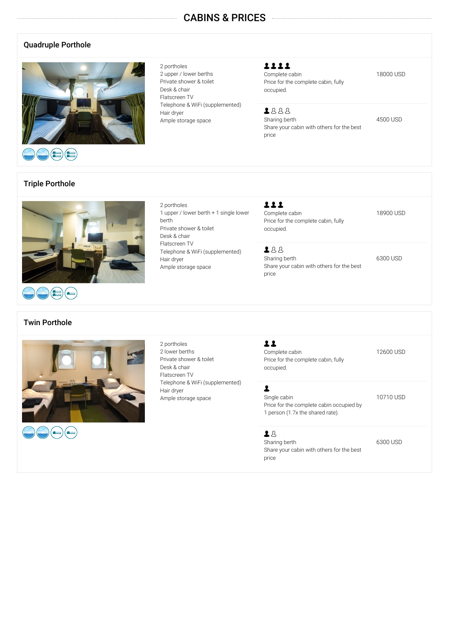## CABINS & PRICES

### Quadruple Porthole



2 portholes 2 upper / lower berths Private shower & toilet Desk & chair Flatscreen TV Telephone & WiFi (supplemented) Hair dryer Ample storage space

1 upper / lower berth + 1 single lower

Telephone & WiFi (supplemented)

2 portholes

Hair dryer

Private shower & toilet Desk & chair Flatscreen TV

Ample storage space

berth

1111 Complete cabin 18000 USD Price for the complete cabin, fully occupied.

1888 Sharing berth 4500 USD Share your cabin with others for the best price

Triple Porthole



# Twin Porthole



2 portholes 2 lower berths Private shower & toilet Desk & chair Flatscreen TV Telephone & WiFi (supplemented) Hair dryer Ample storage space

111 Complete cabin 18900 USD Price for the complete cabin, fully occupied.

288 Sharing berth 6300 USD Share your cabin with others for the best price

11 Complete cabin 12600 USD Price for the complete cabin, fully occupied.

### $\overline{\mathbf{r}}$

Single cabin 10710 USD Price for the complete cabin occupied by 1 person (1.7x the shared rate).

### 28

Sharing berth 6300 USD Share your cabin with others for the best price